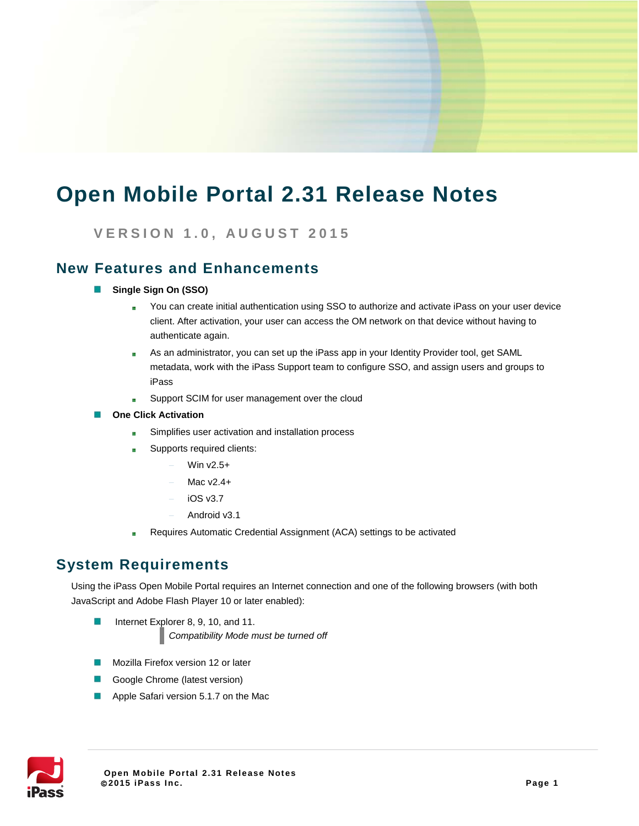# **Open Mobile Portal 2.31 Release Notes**

**VERSION 1. 0 , AUGUST 2015**

### **New Features and Enhancements**

- B **Single Sign On (SSO)**
	- You can create initial authentication using SSO to authorize and activate iPass on your user device  $\mathbf{r}$ client. After activation, your user can access the OM network on that device without having to authenticate again.
	- As an administrator, you can set up the iPass app in your Identity Provider tool, get SAML  $\frac{1}{2}$ metadata, work with the iPass Support team to configure SSO, and assign users and groups to iPass
	- Support SCIM for user management over the cloud i.
- **One Click Activation**  b.
	- Simplifies user activation and installation process
	- Supports required clients: e.
		- Win v2.5+
		- Mac v2.4+
		- − iOS v3.7
		- − Android v3.1
	- Requires Automatic Credential Assignment (ACA) settings to be activated

### **System Requirements**

Using the iPass Open Mobile Portal requires an Internet connection and one of the following browsers (with both JavaScript and Adobe Flash Player 10 or later enabled):

- Internet Explorer 8, 9, 10, and 11. þ. *Compatibility Mode must be turned off*
- Mozilla Firefox version 12 or later
- Google Chrome (latest version)
- E Apple Safari version 5.1.7 on the Mac

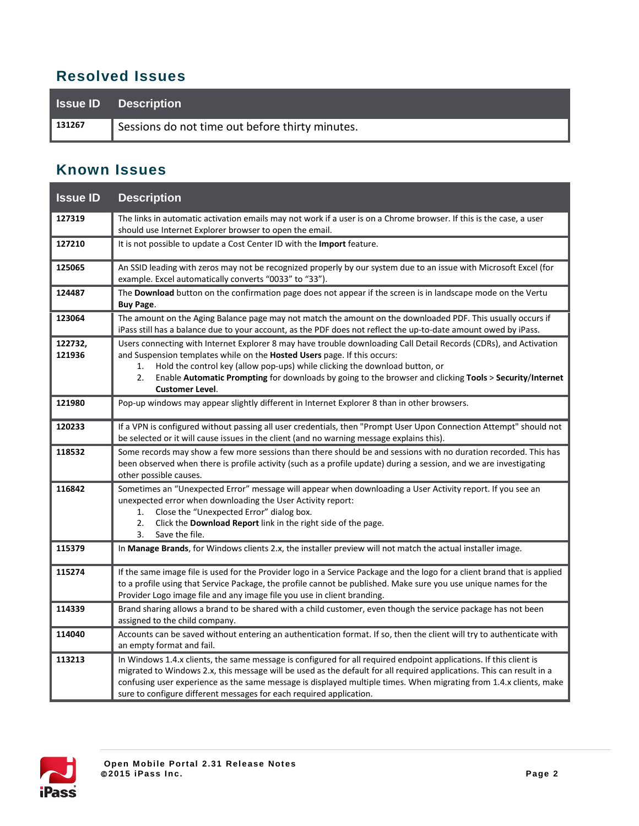### **Resolved Issues**

|        | <b>Issue ID</b> Description                     |
|--------|-------------------------------------------------|
| 131267 | Sessions do not time out before thirty minutes. |

## **Known Issues**

| <b>Issue ID</b>   | <b>Description</b>                                                                                                                                                                                                                                                                                                                                                                                                                       |
|-------------------|------------------------------------------------------------------------------------------------------------------------------------------------------------------------------------------------------------------------------------------------------------------------------------------------------------------------------------------------------------------------------------------------------------------------------------------|
| 127319            | The links in automatic activation emails may not work if a user is on a Chrome browser. If this is the case, a user<br>should use Internet Explorer browser to open the email.                                                                                                                                                                                                                                                           |
| 127210            | It is not possible to update a Cost Center ID with the <b>Import</b> feature.                                                                                                                                                                                                                                                                                                                                                            |
| 125065            | An SSID leading with zeros may not be recognized properly by our system due to an issue with Microsoft Excel (for<br>example. Excel automatically converts "0033" to "33").                                                                                                                                                                                                                                                              |
| 124487            | The Download button on the confirmation page does not appear if the screen is in landscape mode on the Vertu<br><b>Buy Page.</b>                                                                                                                                                                                                                                                                                                         |
| 123064            | The amount on the Aging Balance page may not match the amount on the downloaded PDF. This usually occurs if<br>iPass still has a balance due to your account, as the PDF does not reflect the up-to-date amount owed by iPass.                                                                                                                                                                                                           |
| 122732,<br>121936 | Users connecting with Internet Explorer 8 may have trouble downloading Call Detail Records (CDRs), and Activation<br>and Suspension templates while on the <b>Hosted Users</b> page. If this occurs:<br>Hold the control key (allow pop-ups) while clicking the download button, or<br>1.<br>Enable Automatic Prompting for downloads by going to the browser and clicking Tools > Security/Internet<br>2.<br><b>Customer Level.</b>     |
| 121980            | Pop-up windows may appear slightly different in Internet Explorer 8 than in other browsers.                                                                                                                                                                                                                                                                                                                                              |
| 120233            | If a VPN is configured without passing all user credentials, then "Prompt User Upon Connection Attempt" should not<br>be selected or it will cause issues in the client (and no warning message explains this).                                                                                                                                                                                                                          |
| 118532            | Some records may show a few more sessions than there should be and sessions with no duration recorded. This has<br>been observed when there is profile activity (such as a profile update) during a session, and we are investigating<br>other possible causes.                                                                                                                                                                          |
| 116842            | Sometimes an "Unexpected Error" message will appear when downloading a User Activity report. If you see an<br>unexpected error when downloading the User Activity report:<br>Close the "Unexpected Error" dialog box.<br>1.<br>2.<br>Click the Download Report link in the right side of the page.<br>3.<br>Save the file.                                                                                                               |
| 115379            | In Manage Brands, for Windows clients 2.x, the installer preview will not match the actual installer image.                                                                                                                                                                                                                                                                                                                              |
| 115274            | If the same image file is used for the Provider logo in a Service Package and the logo for a client brand that is applied<br>to a profile using that Service Package, the profile cannot be published. Make sure you use unique names for the<br>Provider Logo image file and any image file you use in client branding.                                                                                                                 |
| 114339            | Brand sharing allows a brand to be shared with a child customer, even though the service package has not been<br>assigned to the child company.                                                                                                                                                                                                                                                                                          |
| 114040            | Accounts can be saved without entering an authentication format. If so, then the client will try to authenticate with<br>an empty format and fail.                                                                                                                                                                                                                                                                                       |
| 113213            | In Windows 1.4.x clients, the same message is configured for all required endpoint applications. If this client is<br>migrated to Windows 2.x, this message will be used as the default for all required applications. This can result in a<br>confusing user experience as the same message is displayed multiple times. When migrating from 1.4.x clients, make<br>sure to configure different messages for each required application. |

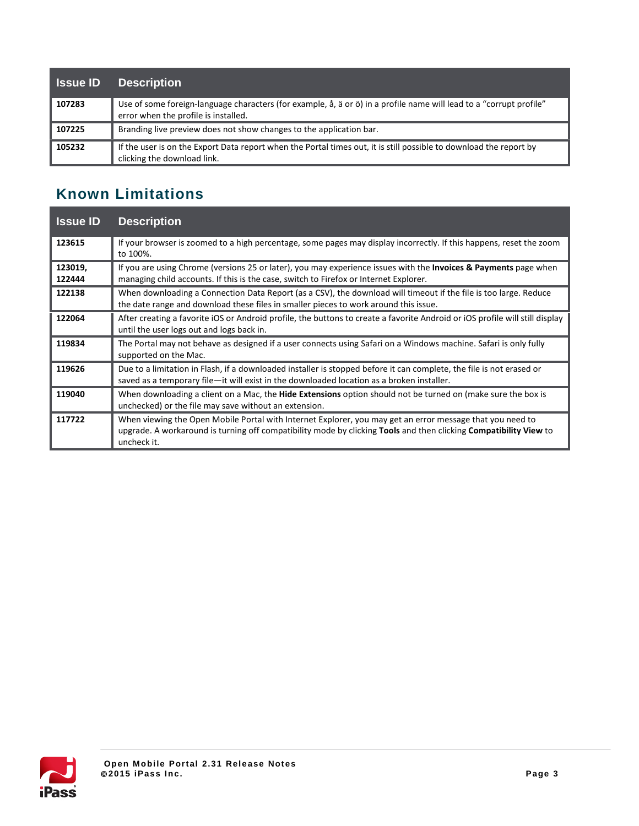| <b>Sance ID</b> | <b>Description</b>                                                                                                                                          |
|-----------------|-------------------------------------------------------------------------------------------------------------------------------------------------------------|
| 107283          | Use of some foreign-language characters (for example, å, ä or ö) in a profile name will lead to a "corrupt profile"<br>error when the profile is installed. |
| 107225          | Branding live preview does not show changes to the application bar.                                                                                         |
| 105232          | If the user is on the Export Data report when the Portal times out, it is still possible to download the report by<br>clicking the download link.           |

# **Known Limitations**

| <b>Issue ID</b>   | <b>Description</b>                                                                                                                                                                                                                                          |
|-------------------|-------------------------------------------------------------------------------------------------------------------------------------------------------------------------------------------------------------------------------------------------------------|
| 123615            | If your browser is zoomed to a high percentage, some pages may display incorrectly. If this happens, reset the zoom<br>to 100%.                                                                                                                             |
| 123019,<br>122444 | If you are using Chrome (versions 25 or later), you may experience issues with the <b>Invoices &amp; Payments</b> page when<br>managing child accounts. If this is the case, switch to Firefox or Internet Explorer.                                        |
| 122138            | When downloading a Connection Data Report (as a CSV), the download will timeout if the file is too large. Reduce<br>the date range and download these files in smaller pieces to work around this issue.                                                    |
| 122064            | After creating a favorite iOS or Android profile, the buttons to create a favorite Android or iOS profile will still display<br>until the user logs out and logs back in.                                                                                   |
| 119834            | The Portal may not behave as designed if a user connects using Safari on a Windows machine. Safari is only fully<br>supported on the Mac.                                                                                                                   |
| 119626            | Due to a limitation in Flash, if a downloaded installer is stopped before it can complete, the file is not erased or<br>saved as a temporary file-it will exist in the downloaded location as a broken installer.                                           |
| 119040            | When downloading a client on a Mac, the <b>Hide Extensions</b> option should not be turned on (make sure the box is<br>unchecked) or the file may save without an extension.                                                                                |
| 117722            | When viewing the Open Mobile Portal with Internet Explorer, you may get an error message that you need to<br>upgrade. A workaround is turning off compatibility mode by clicking <b>Tools</b> and then clicking <b>Compatibility View</b> to<br>uncheck it. |